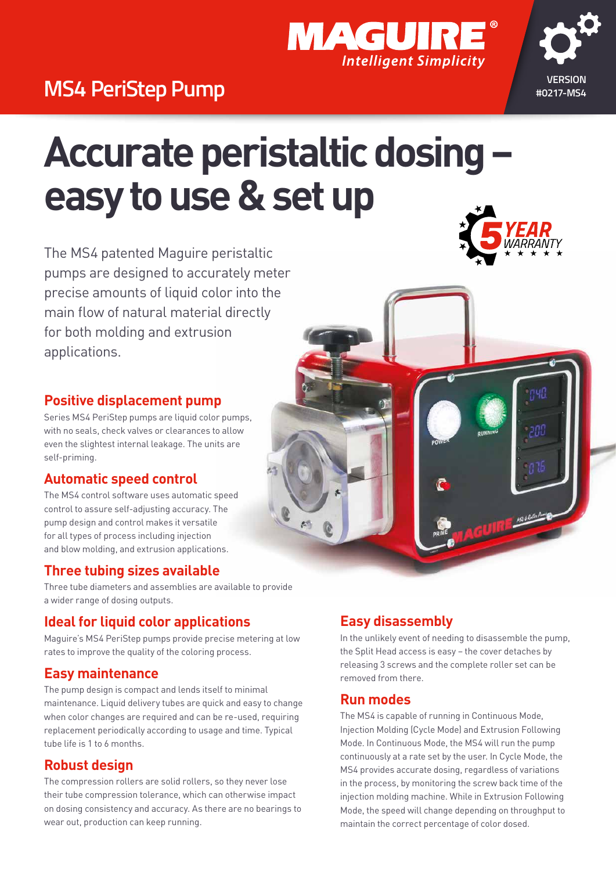

# **MS4 PeriStep Pump** *WASH PeriStep Pump*

# **Accurate peristaltic dosing – easy to use & set up**

The MS4 patented Maguire peristaltic pumps are designed to accurately meter precise amounts of liquid color into the main flow of natural material directly for both molding and extrusion applications.

#### **Positive displacement pump**

Series MS4 PeriStep pumps are liquid color pumps, with no seals, check valves or clearances to allow even the slightest internal leakage. The units are self-priming.

### **Automatic speed control**

The MS4 control software uses automatic speed control to assure self-adjusting accuracy. The pump design and control makes it versatile for all types of process including injection and blow molding, and extrusion applications.

### **Three tubing sizes available**

Three tube diameters and assemblies are available to provide a wider range of dosing outputs.

### **Ideal for liquid color applications**

Maguire's MS4 PeriStep pumps provide precise metering at low rates to improve the quality of the coloring process.

### **Easy maintenance**

The pump design is compact and lends itself to minimal maintenance. Liquid delivery tubes are quick and easy to change when color changes are required and can be re-used, requiring replacement periodically according to usage and time. Typical tube life is 1 to 6 months.

### **Robust design**

The compression rollers are solid rollers, so they never lose their tube compression tolerance, which can otherwise impact on dosing consistency and accuracy. As there are no bearings to wear out, production can keep running.

### **Easy disassembly**

In the unlikely event of needing to disassemble the pump, the Split Head access is easy – the cover detaches by releasing 3 screws and the complete roller set can be removed from there.

### **Run modes**

The MS4 is capable of running in Continuous Mode, Injection Molding (Cycle Mode) and Extrusion Following Mode. In Continuous Mode, the MS4 will run the pump continuously at a rate set by the user. In Cycle Mode, the MS4 provides accurate dosing, regardless of variations in the process, by monitoring the screw back time of the injection molding machine. While in Extrusion Following Mode, the speed will change depending on throughput to maintain the correct percentage of color dosed.



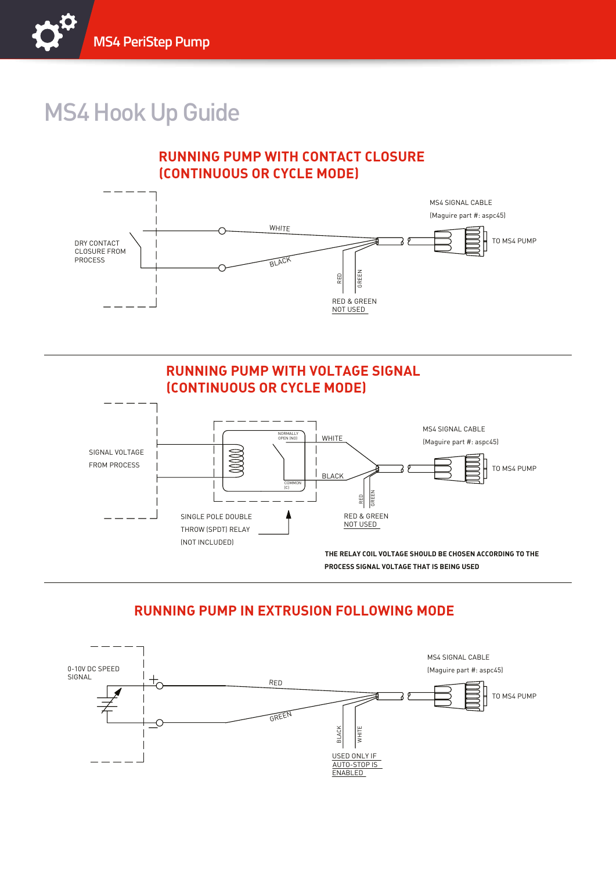

# MS4 Hook Up Guide

### **RUNNING PUMP WITH CONTACT CLOSURE (CONTINUOUS OR CYCLE MODE)**





### **RUNNING PUMP IN EXTRUSION FOLLOWING MODE**

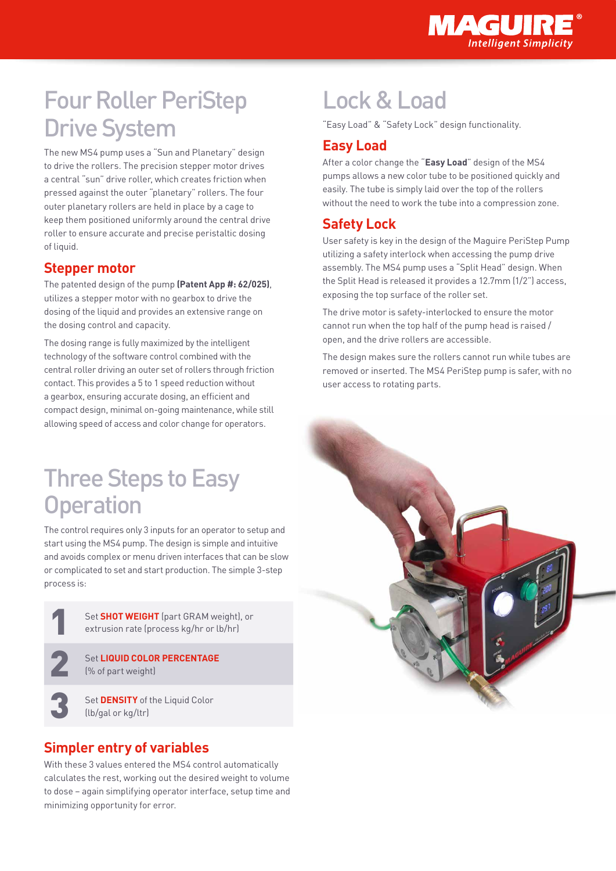

# Four Roller PeriStep Drive System

The new MS4 pump uses a "Sun and Planetary" design to drive the rollers. The precision stepper motor drives a central "sun" drive roller, which creates friction when pressed against the outer "planetary" rollers. The four outer planetary rollers are held in place by a cage to keep them positioned uniformly around the central drive roller to ensure accurate and precise peristaltic dosing of liquid.

### **Stepper motor**

The patented design of the pump **(Patent App #: 62/025)**, utilizes a stepper motor with no gearbox to drive the dosing of the liquid and provides an extensive range on the dosing control and capacity.

The dosing range is fully maximized by the intelligent technology of the software control combined with the central roller driving an outer set of rollers through friction contact. This provides a 5 to 1 speed reduction without a gearbox, ensuring accurate dosing, an efficient and compact design, minimal on-going maintenance, while still allowing speed of access and color change for operators.

### Three Steps to Easy **Operation**

The control requires only 3 inputs for an operator to setup and start using the MS4 pump. The design is simple and intuitive and avoids complex or menu driven interfaces that can be slow or complicated to set and start production. The simple 3-step process is:

> 1 Set **SHOT WEIGHT** (part GRAM weight), or extrusion rate (process kg/hr or lb/hr)

**2 Set LIQUID COLOR PERCENTAGE** (% of part weight)

3 Set **DENSITY** of the Liquid Color (lb/gal or kg/ltr)

### **Simpler entry of variables**

With these 3 values entered the MS4 control automatically calculates the rest, working out the desired weight to volume to dose – again simplifying operator interface, setup time and minimizing opportunity for error.

## Lock & Load

"Easy Load" & "Safety Lock" design functionality.

### **Easy Load**

After a color change the "**Easy Load**" design of the MS4 pumps allows a new color tube to be positioned quickly and easily. The tube is simply laid over the top of the rollers without the need to work the tube into a compression zone.

### **Safety Lock**

User safety is key in the design of the Maguire PeriStep Pump utilizing a safety interlock when accessing the pump drive assembly. The MS4 pump uses a "Split Head" design. When the Split Head is released it provides a 12.7mm (1/2") access, exposing the top surface of the roller set.

The drive motor is safety-interlocked to ensure the motor cannot run when the top half of the pump head is raised / open, and the drive rollers are accessible.

The design makes sure the rollers cannot run while tubes are removed or inserted. The MS4 PeriStep pump is safer, with no user access to rotating parts.